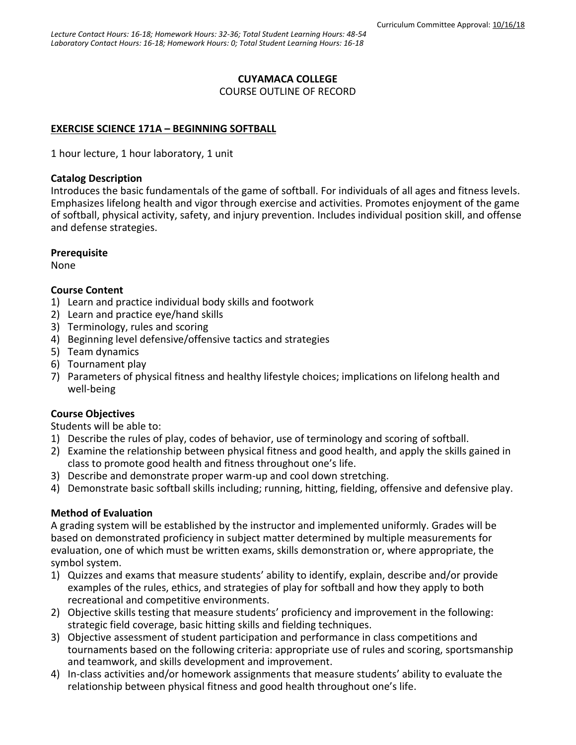## **CUYAMACA COLLEGE**

COURSE OUTLINE OF RECORD

# **EXERCISE SCIENCE 171A – BEGINNING SOFTBALL**

1 hour lecture, 1 hour laboratory, 1 unit

#### **Catalog Description**

Introduces the basic fundamentals of the game of softball. For individuals of all ages and fitness levels. Emphasizes lifelong health and vigor through exercise and activities. Promotes enjoyment of the game of softball, physical activity, safety, and injury prevention. Includes individual position skill, and offense and defense strategies.

## **Prerequisite**

None

## **Course Content**

- 1) Learn and practice individual body skills and footwork
- 2) Learn and practice eye/hand skills
- 3) Terminology, rules and scoring
- 4) Beginning level defensive/offensive tactics and strategies
- 5) Team dynamics
- 6) Tournament play
- 7) Parameters of physical fitness and healthy lifestyle choices; implications on lifelong health and well-being

## **Course Objectives**

Students will be able to:

- 1) Describe the rules of play, codes of behavior, use of terminology and scoring of softball.
- 2) Examine the relationship between physical fitness and good health, and apply the skills gained in class to promote good health and fitness throughout one's life.
- 3) Describe and demonstrate proper warm-up and cool down stretching.
- 4) Demonstrate basic softball skills including; running, hitting, fielding, offensive and defensive play.

## **Method of Evaluation**

A grading system will be established by the instructor and implemented uniformly. Grades will be based on demonstrated proficiency in subject matter determined by multiple measurements for evaluation, one of which must be written exams, skills demonstration or, where appropriate, the symbol system.

- 1) Quizzes and exams that measure students' ability to identify, explain, describe and/or provide examples of the rules, ethics, and strategies of play for softball and how they apply to both recreational and competitive environments.
- 2) Objective skills testing that measure students' proficiency and improvement in the following: strategic field coverage, basic hitting skills and fielding techniques.
- 3) Objective assessment of student participation and performance in class competitions and tournaments based on the following criteria: appropriate use of rules and scoring, sportsmanship and teamwork, and skills development and improvement.
- 4) In-class activities and/or homework assignments that measure students' ability to evaluate the relationship between physical fitness and good health throughout one's life.